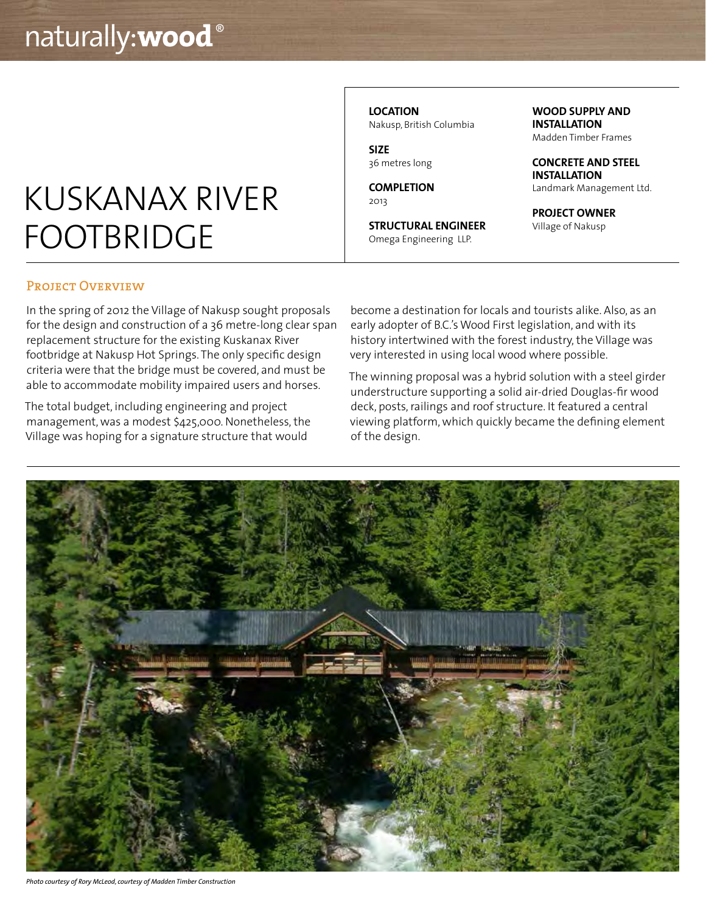# KUSKANAX RIVER FOOTBRIDGE

**LOCATION** Nakusp, British Columbia

**SIZE** 36 metres long

**COMPLETION** 2013

**STRUCTURAL ENGINEER** Omega Engineering LLP.

**WOOD SUPPLY AND INSTALLATION**

Madden Timber Frames

**CONCRETE AND STEEL INSTALLATION** Landmark Management Ltd.

**PROJECT OWNER** Village of Nakusp

#### PROJECT OVERVIEW

In the spring of 2012 the Village of Nakusp sought proposals for the design and construction of a 36 metre-long clear span replacement structure for the existing Kuskanax River footbridge at Nakusp Hot Springs. The only specific design criteria were that the bridge must be covered, and must be able to accommodate mobility impaired users and horses.

The total budget, including engineering and project management, was a modest \$425,000. Nonetheless, the Village was hoping for a signature structure that would

become a destination for locals and tourists alike. Also, as an early adopter of B.C.'s Wood First legislation, and with its history intertwined with the forest industry, the Village was very interested in using local wood where possible.

The winning proposal was a hybrid solution with a steel girder understructure supporting a solid air-dried Douglas-fir wood deck, posts, railings and roof structure. It featured a central viewing platform, which quickly became the defining element of the design.